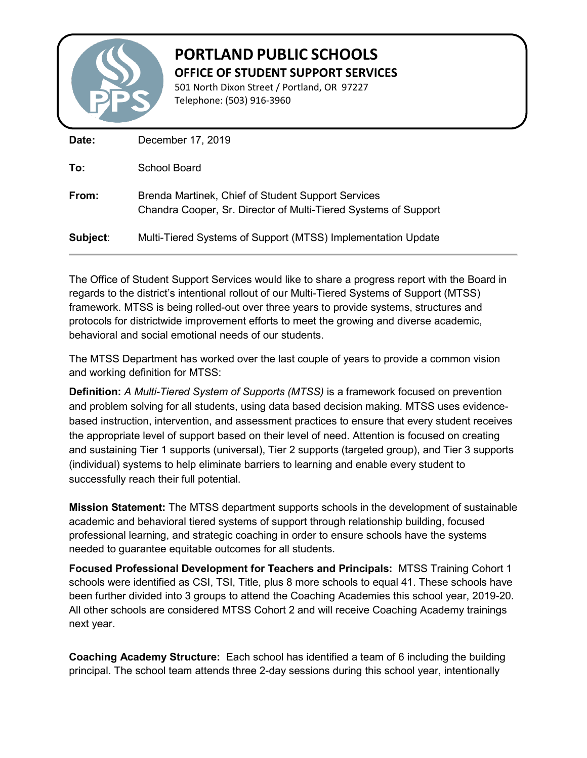

## **PORTLAND PUBLIC SCHOOLS OFFICE OF STUDENT SUPPORT SERVICES**

501 North Dixon Street / Portland, OR 97227 Telephone: (503) 916-3960

| Date:    | December 17, 2019                                                                                                     |
|----------|-----------------------------------------------------------------------------------------------------------------------|
| To:      | School Board                                                                                                          |
| From:    | Brenda Martinek, Chief of Student Support Services<br>Chandra Cooper, Sr. Director of Multi-Tiered Systems of Support |
| Subject: | Multi-Tiered Systems of Support (MTSS) Implementation Update                                                          |

The Office of Student Support Services would like to share a progress report with the Board in regards to the district's intentional rollout of our Multi-Tiered Systems of Support (MTSS) framework. MTSS is being rolled-out over three years to provide systems, structures and protocols for districtwide improvement efforts to meet the growing and diverse academic, behavioral and social emotional needs of our students.

The MTSS Department has worked over the last couple of years to provide a common vision and working definition for MTSS:

**Definition:** *A Multi-Tiered System of Supports (MTSS)* is a framework focused on prevention and problem solving for all students, using data based decision making. MTSS uses evidencebased instruction, intervention, and assessment practices to ensure that every student receives the appropriate level of support based on their level of need. Attention is focused on creating and sustaining Tier 1 supports (universal), Tier 2 supports (targeted group), and Tier 3 supports (individual) systems to help eliminate barriers to learning and enable every student to successfully reach their full potential.

**Mission Statement:** The MTSS department supports schools in the development of sustainable academic and behavioral tiered systems of support through relationship building, focused professional learning, and strategic coaching in order to ensure schools have the systems needed to guarantee equitable outcomes for all students.

**Focused Professional Development for Teachers and Principals:** MTSS Training Cohort 1 schools were identified as CSI, TSI, Title, plus 8 more schools to equal 41. These schools have been further divided into 3 groups to attend the Coaching Academies this school year, 2019-20. All other schools are considered MTSS Cohort 2 and will receive Coaching Academy trainings next year.

**Coaching Academy Structure:** Each school has identified a team of 6 including the building principal. The school team attends three 2-day sessions during this school year, intentionally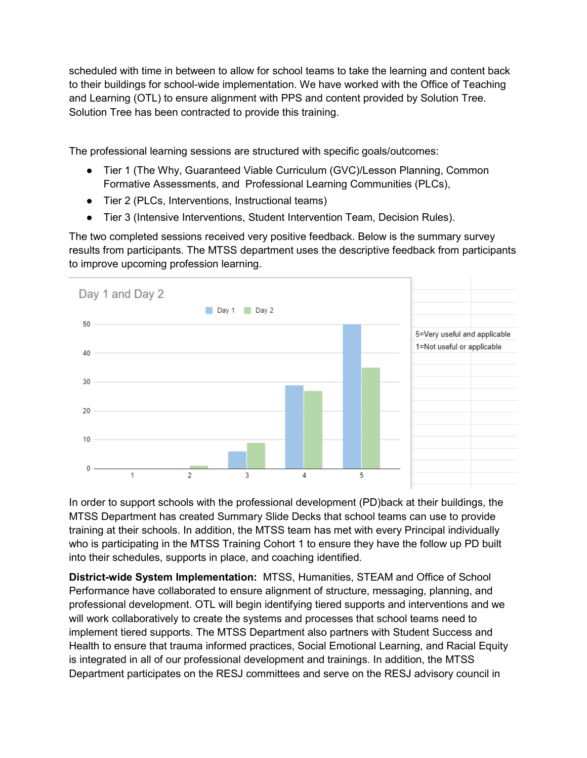scheduled with time in between to allow for school teams to take the learning and content back to their buildings for school-wide implementation. We have worked with the Office of Teaching and Learning (OTL) to ensure alignment with PPS and content provided by Solution Tree. Solution Tree has been contracted to provide this training.

The professional learning sessions are structured with specific goals/outcomes:

- Tier 1 (The Why, Guaranteed Viable Curriculum (GVC)/Lesson Planning, Common Formative Assessments, and Professional Learning Communities (PLCs),
- Tier 2 (PLCs, Interventions, Instructional teams)
- Tier 3 (Intensive Interventions, Student Intervention Team, Decision Rules).

The two completed sessions received very positive feedback. Below is the summary survey results from participants. The MTSS department uses the descriptive feedback from participants to improve upcoming profession learning.



In order to support schools with the professional development (PD)back at their buildings, the MTSS Department has created Summary Slide Decks that school teams can use to provide training at their schools. In addition, the MTSS team has met with every Principal individually who is participating in the MTSS Training Cohort 1 to ensure they have the follow up PD built into their schedules, supports in place, and coaching identified.

**District-wide System Implementation:** MTSS, Humanities, STEAM and Office of School Performance have collaborated to ensure alignment of structure, messaging, planning, and professional development. OTL will begin identifying tiered supports and interventions and we will work collaboratively to create the systems and processes that school teams need to implement tiered supports. The MTSS Department also partners with Student Success and Health to ensure that trauma informed practices, Social Emotional Learning, and Racial Equity is integrated in all of our professional development and trainings. In addition, the MTSS Department participates on the RESJ committees and serve on the RESJ advisory council in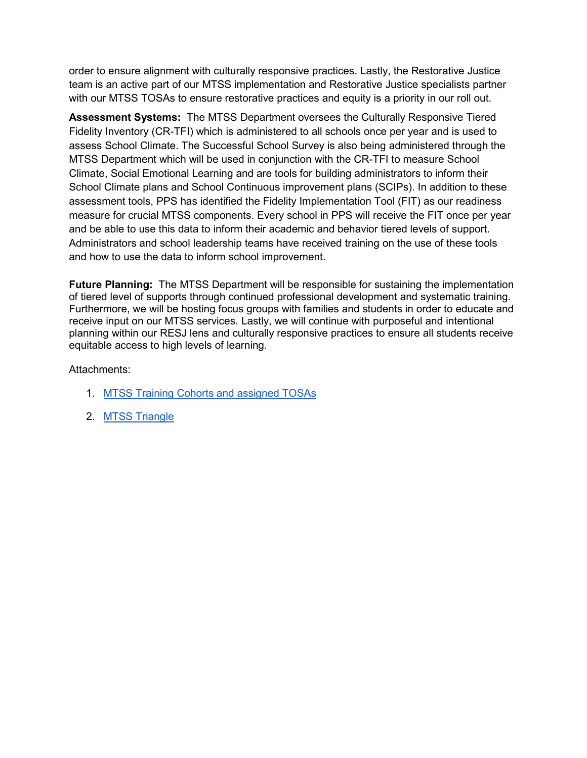order to ensure alignment with culturally responsive practices. Lastly, the Restorative Justice team is an active part of our MTSS implementation and Restorative Justice specialists partner with our MTSS TOSAs to ensure restorative practices and equity is a priority in our roll out.

**Assessment Systems:** The MTSS Department oversees the Culturally Responsive Tiered Fidelity Inventory (CR-TFI) which is administered to all schools once per year and is used to assess School Climate. The Successful School Survey is also being administered through the MTSS Department which will be used in conjunction with the CR-TFI to measure School Climate, Social Emotional Learning and are tools for building administrators to inform their School Climate plans and School Continuous improvement plans (SCIPs). In addition to these assessment tools, PPS has identified the Fidelity Implementation Tool (FIT) as our readiness measure for crucial MTSS components. Every school in PPS will receive the FIT once per year and be able to use this data to inform their academic and behavior tiered levels of support. Administrators and school leadership teams have received training on the use of these tools and how to use the data to inform school improvement.

**Future Planning:** The MTSS Department will be responsible for sustaining the implementation of tiered level of supports through continued professional development and systematic training. Furthermore, we will be hosting focus groups with families and students in order to educate and receive input on our MTSS services. Lastly, we will continue with purposeful and intentional planning within our RESJ lens and culturally responsive practices to ensure all students receive equitable access to high levels of learning.

#### Attachments:

- 1. [MTSS Training Cohorts and assigned TOSAs](https://docs.google.com/document/d/1Di9NwJ-PocPX4YZLvEo6KNdrlR68v5M69GGAVgTBqHk/edit)
- 2. [MTSS Triangle](https://docs.google.com/drawings/d/1cUXr59ooTLuHTEj9nznDdeVkxKC7wImCCby8BfXmkwE/edit?ts=5d783793)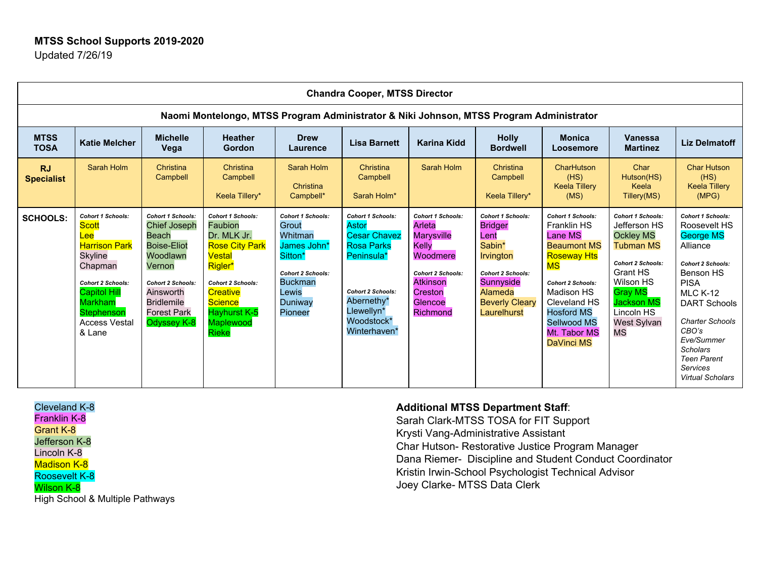|                                                                                         | <b>Chandra Cooper, MTSS Director</b>                                                                                                                                                                                          |                                                                                                                                                                                                                |                                                                                                                                                                                                                       |                                                                                                                                                     |                                                                                                                                                                                   |                                                                                                                                                                      |                                                                                                                                                                       |                                                                                                                                                                                                                                                       |                                                                                                                                                                                                                        |                                                                                                                                                                                                                                                                                                             |  |  |  |
|-----------------------------------------------------------------------------------------|-------------------------------------------------------------------------------------------------------------------------------------------------------------------------------------------------------------------------------|----------------------------------------------------------------------------------------------------------------------------------------------------------------------------------------------------------------|-----------------------------------------------------------------------------------------------------------------------------------------------------------------------------------------------------------------------|-----------------------------------------------------------------------------------------------------------------------------------------------------|-----------------------------------------------------------------------------------------------------------------------------------------------------------------------------------|----------------------------------------------------------------------------------------------------------------------------------------------------------------------|-----------------------------------------------------------------------------------------------------------------------------------------------------------------------|-------------------------------------------------------------------------------------------------------------------------------------------------------------------------------------------------------------------------------------------------------|------------------------------------------------------------------------------------------------------------------------------------------------------------------------------------------------------------------------|-------------------------------------------------------------------------------------------------------------------------------------------------------------------------------------------------------------------------------------------------------------------------------------------------------------|--|--|--|
| Naomi Montelongo, MTSS Program Administrator & Niki Johnson, MTSS Program Administrator |                                                                                                                                                                                                                               |                                                                                                                                                                                                                |                                                                                                                                                                                                                       |                                                                                                                                                     |                                                                                                                                                                                   |                                                                                                                                                                      |                                                                                                                                                                       |                                                                                                                                                                                                                                                       |                                                                                                                                                                                                                        |                                                                                                                                                                                                                                                                                                             |  |  |  |
| <b>MTSS</b><br><b>TOSA</b>                                                              | <b>Katie Melcher</b>                                                                                                                                                                                                          | <b>Michelle</b><br>Vega                                                                                                                                                                                        | <b>Heather</b><br><b>Gordon</b>                                                                                                                                                                                       | <b>Drew</b><br>Laurence                                                                                                                             | <b>Lisa Barnett</b>                                                                                                                                                               | <b>Karina Kidd</b>                                                                                                                                                   | <b>Holly</b><br><b>Bordwell</b>                                                                                                                                       | <b>Monica</b><br>Loosemore                                                                                                                                                                                                                            | <b>Vanessa</b><br><b>Martinez</b>                                                                                                                                                                                      | <b>Liz Delmatoff</b>                                                                                                                                                                                                                                                                                        |  |  |  |
| <b>RJ</b><br><b>Specialist</b>                                                          | Sarah Holm                                                                                                                                                                                                                    | Christina<br>Campbell                                                                                                                                                                                          | Christina<br>Campbell<br>Keela Tillery*                                                                                                                                                                               | Sarah Holm<br>Christina<br>Campbell*                                                                                                                | Christina<br>Campbell<br>Sarah Holm*                                                                                                                                              | Sarah Holm                                                                                                                                                           | Christina<br>Campbell<br>Keela Tillery*                                                                                                                               | CharHutson<br>(HS)<br><b>Keela Tillery</b><br>(MS)                                                                                                                                                                                                    | Char<br>Hutson(HS)<br>Keela<br>Tillery(MS)                                                                                                                                                                             | <b>Char Hutson</b><br>(HS)<br><b>Keela Tillery</b><br>(MPG)                                                                                                                                                                                                                                                 |  |  |  |
| <b>SCHOOLS:</b>                                                                         | <b>Cohort 1 Schools:</b><br><b>Scott</b><br>$_{ee}$<br><b>Harrison Park</b><br><b>Skyline</b><br>Chapman<br><b>Cohort 2 Schools:</b><br><b>Capitol Hill</b><br><b>Markham</b><br>Stephenson<br><b>Access Vestal</b><br>& Lane | <b>Cohort 1 Schools:</b><br><b>Chief Joseph</b><br>Beach<br><b>Boise-Eliot</b><br>Woodlawn<br>Vernon<br><b>Cohort 2 Schools:</b><br>Ainsworth<br><b>Bridlemile</b><br><b>Forest Park</b><br><b>Odyssey K-8</b> | <b>Cohort 1 Schools:</b><br><b>Faubion</b><br>Dr. MLK Jr.<br><b>Rose City Park</b><br>Vestal<br>Rigler*<br><b>Cohort 2 Schools:</b><br><b>Creative</b><br><b>Science</b><br>Hayhurst K-5<br>Maplewood<br><b>Rieke</b> | <b>Cohort 1 Schools:</b><br>Grout<br>Whitman<br>James John*<br>Sitton*<br><b>Cohort 2 Schools:</b><br><b>Buckman</b><br>Lewis<br>Duniway<br>Pioneer | <b>Cohort 1 Schools:</b><br>Astor<br><b>Cesar Chavez</b><br><b>Rosa Parks</b><br>Peninsula*<br><b>Cohort 2 Schools:</b><br>Abernethy*<br>Llewellyn*<br>Woodstock*<br>Winterhaven* | <b>Cohort 1 Schools:</b><br>Arleta<br><b>Marysville</b><br>Kelly<br>Woodmere<br><b>Cohort 2 Schools:</b><br><b>Atkinson</b><br>Creston<br>Glencoe<br><b>Richmond</b> | <b>Cohort 1 Schools:</b><br><b>Bridger</b><br>Lent<br>Sabin*<br>Irvington<br><b>Cohort 2 Schools:</b><br>Sunnyside<br>Alameda<br><b>Beverly Cleary</b><br>Laurelhurst | <b>Cohort 1 Schools:</b><br><b>Franklin HS</b><br><b>Lane MS</b><br><b>Beaumont MS</b><br><b>Roseway Hts</b><br>MS<br><b>Cohort 2 Schools:</b><br>Madison HS<br>Cleveland HS<br><b>Hosford MS</b><br>Sellwood MS<br>Mt. Tabor MS<br><b>DaVinci MS</b> | <b>Cohort 1 Schools:</b><br>Jefferson HS<br><b>Ockley MS</b><br><b>Tubman MS</b><br><b>Cohort 2 Schools:</b><br><b>Grant HS</b><br>Wilson HS<br><b>Gray MS</b><br><b>Jackson MS</b><br>Lincoln HS<br>West Sylvan<br>MS | <b>Cohort 1 Schools:</b><br>Roosevelt HS<br><b>George MS</b><br>Alliance<br><b>Cohort 2 Schools:</b><br>Benson HS<br><b>PISA</b><br><b>MLC K-12</b><br><b>DART Schools</b><br><b>Charter Schools</b><br>CBO's<br>Eve/Summer<br><b>Scholars</b><br><b>Teen Parent</b><br>Services<br><b>Virtual Scholars</b> |  |  |  |

#### Cleveland K-8 Franklin K-8 Grant K-8 Jefferson K-8 Lincoln K-8 Madison K-8 Roosevelt K-8 Wilson K-8 High School & Multiple Pathways

#### **Additional MTSS Department Staff**:

Sarah Clark-MTSS TOSA for FIT Support Krysti Vang-Administrative Assistant Char Hutson- Restorative Justice Program Manager Dana Riemer- Discipline and Student Conduct Coordinator Kristin Irwin-School Psychologist Technical Advisor Joey Clarke- MTSS Data Clerk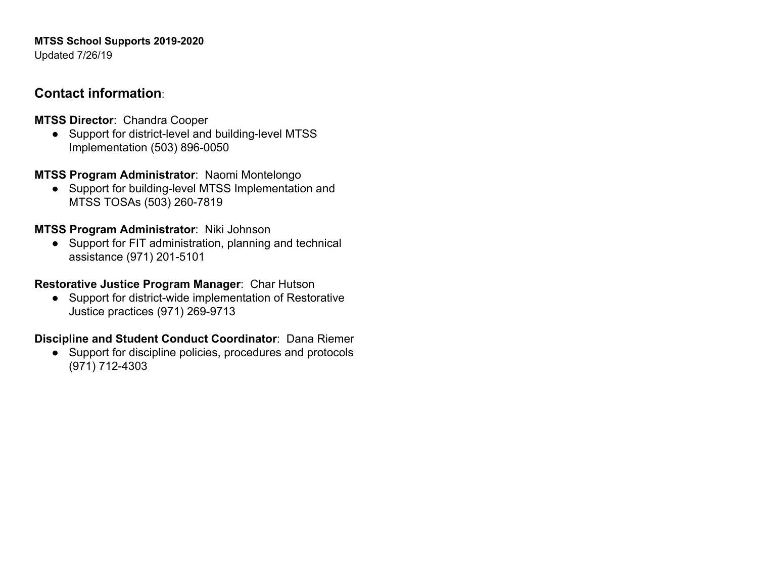# **MTSS School Supports 2019-2020**

Updated 7/26/19

## **Contact information**:

**MTSS Director**: Chandra Cooper

● Support for district-level and building-level MTSS Implementation (503) 896-0050

**MTSS Program Administrator**: Naomi Montelongo

● Support for building-level MTSS Implementation and MTSS TOSAs (503) 260-7819

**MTSS Program Administrator**: Niki Johnson

● Support for FIT administration, planning and technical assistance (971) 201-5101

**Restorative Justice Program Manager**: Char Hutson

● Support for district-wide implementation of Restorative Justice practices (971) 269-9713

## **Discipline and Student Conduct Coordinator**: Dana Riemer

● Support for discipline policies, procedures and protocols (971) 712-4303